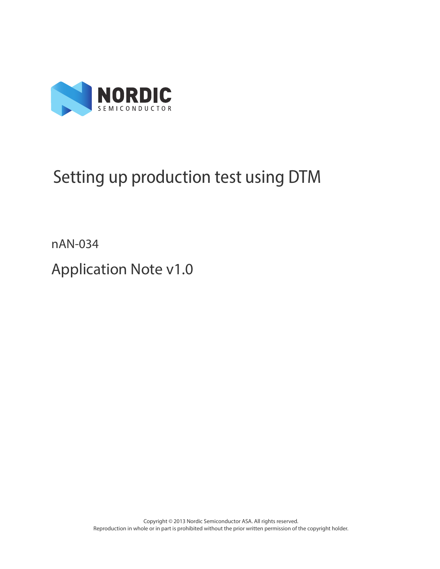

# Setting up production test using DTM

nAN-034

Application Note v1.0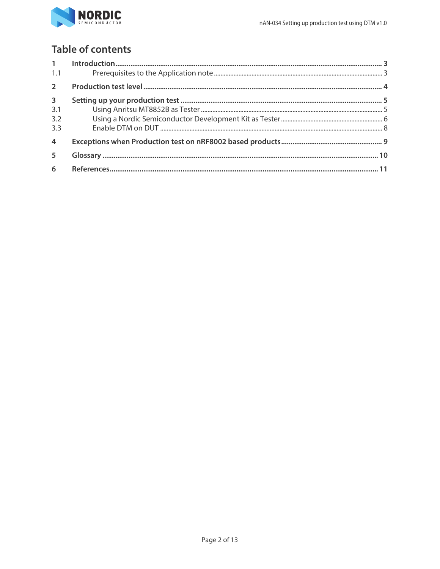

# **Table of contents**

| 1 <sup>1</sup><br>1.1   |  |
|-------------------------|--|
| $\overline{2}$          |  |
| $\overline{\mathbf{3}}$ |  |
| 3.1                     |  |
| 3.2                     |  |
| 3.3                     |  |
| $\overline{4}$          |  |
| 5                       |  |
| 6                       |  |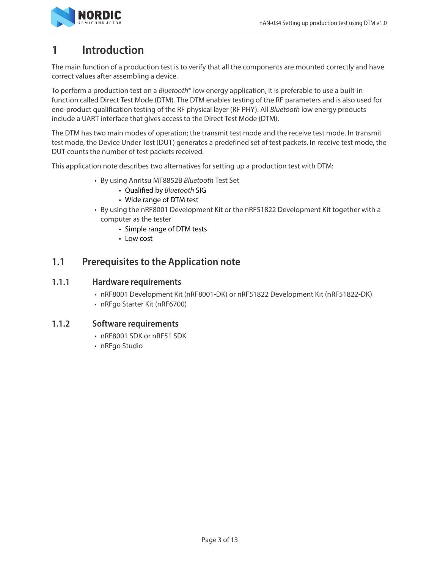

# <span id="page-2-0"></span>**1 Introduction**

The main function of a production test is to verify that all the components are mounted correctly and have correct values after assembling a device.

To perform a production test on a Bluetooth® low energy application, it is preferable to use a built-in function called Direct Test Mode (DTM). The DTM enables testing of the RF parameters and is also used for end-product qualification testing of the RF physical layer (RF PHY). All Bluetooth low energy products include a UART interface that gives access to the Direct Test Mode (DTM).

The DTM has two main modes of operation; the transmit test mode and the receive test mode. In transmit test mode, the Device Under Test (DUT) generates a predefined set of test packets. In receive test mode, the DUT counts the number of test packets received.

This application note describes two alternatives for setting up a production test with DTM:

- By using Anritsu MT8852B Bluetooth Test Set
	- Qualified by Bluetooth SIG
	- Wide range of DTM test
- By using the nRF8001 Development Kit or the nRF51822 Development Kit together with a computer as the tester
	- Simple range of DTM tests
	- Low cost

#### <span id="page-2-1"></span>**1.1 Prerequisites to the Application note**

#### **1.1.1 Hardware requirements**

- nRF8001 Development Kit (nRF8001-DK) or nRF51822 Development Kit (nRF51822-DK)
- nRFgo Starter Kit (nRF6700)

#### **1.1.2 Software requirements**

- nRF8001 SDK or nRF51 SDK
- nRFgo Studio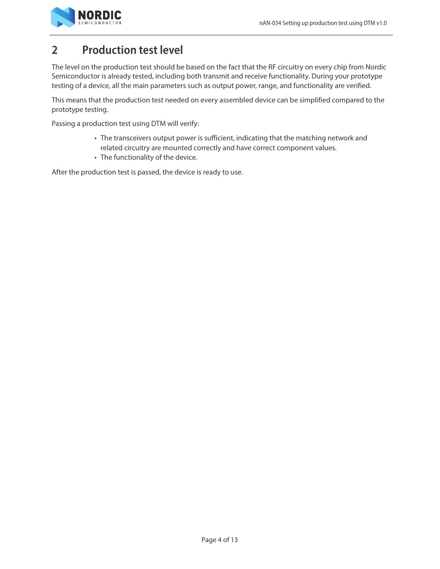

# <span id="page-3-0"></span>**2 Production test level**

The level on the production test should be based on the fact that the RF circuitry on every chip from Nordic Semiconductor is already tested, including both transmit and receive functionality. During your prototype testing of a device, all the main parameters such as output power, range, and functionality are verified.

This means that the production test needed on every assembled device can be simplified compared to the prototype testing.

Passing a production test using DTM will verify:

- The transceivers output power is sufficient, indicating that the matching network and related circuitry are mounted correctly and have correct component values.
- The functionality of the device.

After the production test is passed, the device is ready to use.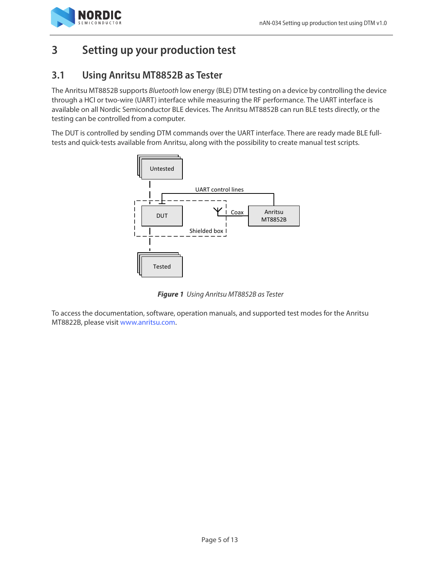

# <span id="page-4-0"></span>**3 Setting up your production test**

### <span id="page-4-1"></span>**3.1 Using Anritsu MT8852B as Tester**

The Anritsu MT8852B supports Bluetooth low energy (BLE) DTM testing on a device by controlling the device through a HCI or two-wire (UART) interface while measuring the RF performance. The UART interface is available on all Nordic Semiconductor BLE devices. The Anritsu MT8852B can run BLE tests directly, or the testing can be controlled from a computer.

The DUT is controlled by sending DTM commands over the UART interface. There are ready made BLE fulltests and quick-tests available from Anritsu, along with the possibility to create manual test scripts.



 **Figure 1** Using Anritsu MT8852B as Tester

To access the documentation, software, operation manuals, and supported test modes for the Anritsu MT8822B, please visit [www.anritsu.com.](http://www.anritsu.com)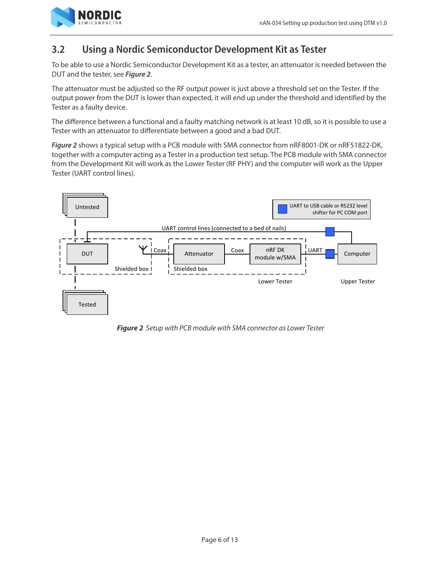

### <span id="page-5-0"></span>**3.2 Using a Nordic Semiconductor Development Kit as Tester**

To be able to use a Nordic Semiconductor Development Kit as a tester, an attenuator is needed between the DUT and the tester, see **[Figure 2](#page-5-1)**.

The attenuator must be adjusted so the RF output power is just above a threshold set on the Tester. If the output power from the DUT is lower than expected, it will end up under the threshold and identified by the Tester as a faulty device.

The difference between a functional and a faulty matching network is at least 10 dB, so it is possible to use a Tester with an attenuator to differentiate between a good and a bad DUT.

**[Figure 2](#page-5-1)** shows a typical setup with a PCB module with SMA connector from nRF8001-DK or nRF51822-DK, together with a computer acting as a Tester in a production test setup. The PCB module with SMA connector from the Development Kit will work as the Lower Tester (RF PHY) and the computer will work as the Upper Tester (UART control lines).



<span id="page-5-1"></span> **Figure 2** Setup with PCB module with SMA connector as Lower Tester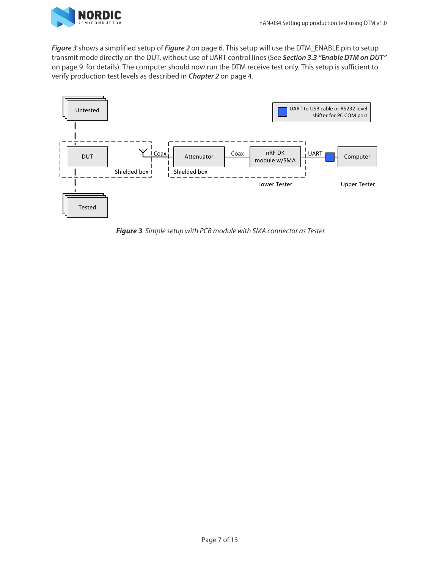

**[Figure 3](#page-6-0)** shows a simplified setup of **Figure 2** [on page 6.](#page-5-1) This setup will use the DTM\_ENABLE pin to setup transmit mode directly on the DUT, without use of UART control lines (See **[Section 3.3 "Enable DTM on DUT"](#page-8-0)**  [on page 9.](#page-8-0) for details). The computer should now run the DTM receive test only. This setup is sufficient to verify production test levels as described in **[Chapter 2](#page-3-0)** on page 4.



<span id="page-6-0"></span> **Figure 3** Simple setup with PCB module with SMA connector as Tester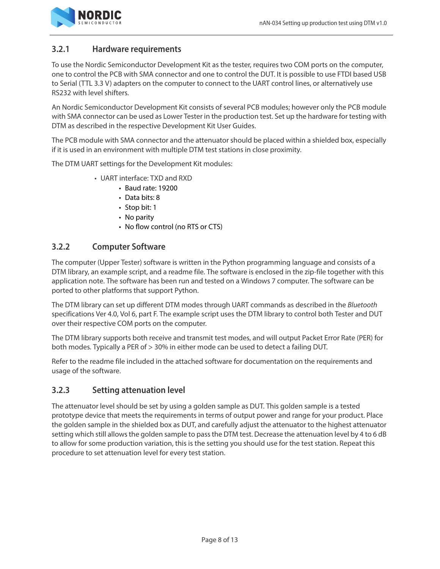

#### **3.2.1 Hardware requirements**

To use the Nordic Semiconductor Development Kit as the tester, requires two COM ports on the computer, one to control the PCB with SMA connector and one to control the DUT. It is possible to use FTDI based USB to Serial (TTL 3.3 V) adapters on the computer to connect to the UART control lines, or alternatively use RS232 with level shifters.

An Nordic Semiconductor Development Kit consists of several PCB modules; however only the PCB module with SMA connector can be used as Lower Tester in the production test. Set up the hardware for testing with DTM as described in the respective Development Kit User Guides.

The PCB module with SMA connector and the attenuator should be placed within a shielded box, especially if it is used in an environment with multiple DTM test stations in close proximity.

The DTM UART settings for the Development Kit modules:

- UART interface: TXD and RXD
	- Baud rate: 19200
	- Data bits: 8
	- Stop bit: 1
	- No parity
	- No flow control (no RTS or CTS)

#### **3.2.2 Computer Software**

The computer (Upper Tester) software is written in the Python programming language and consists of a DTM library, an example script, and a readme file. The software is enclosed in the zip-file together with this application note. The software has been run and tested on a Windows 7 computer. The software can be ported to other platforms that support Python.

The DTM library can set up different DTM modes through UART commands as described in the Bluetooth specifications Ver 4.0, Vol 6, part F. The example script uses the DTM library to control both Tester and DUT over their respective COM ports on the computer.

The DTM library supports both receive and transmit test modes, and will output Packet Error Rate (PER) for both modes. Typically a PER of > 30% in either mode can be used to detect a failing DUT.

Refer to the readme file included in the attached software for documentation on the requirements and usage of the software.

#### **3.2.3 Setting attenuation level**

The attenuator level should be set by using a golden sample as DUT. This golden sample is a tested prototype device that meets the requirements in terms of output power and range for your product. Place the golden sample in the shielded box as DUT, and carefully adjust the attenuator to the highest attenuator setting which still allows the golden sample to pass the DTM test. Decrease the attenuation level by 4 to 6 dB to allow for some production variation, this is the setting you should use for the test station. Repeat this procedure to set attenuation level for every test station.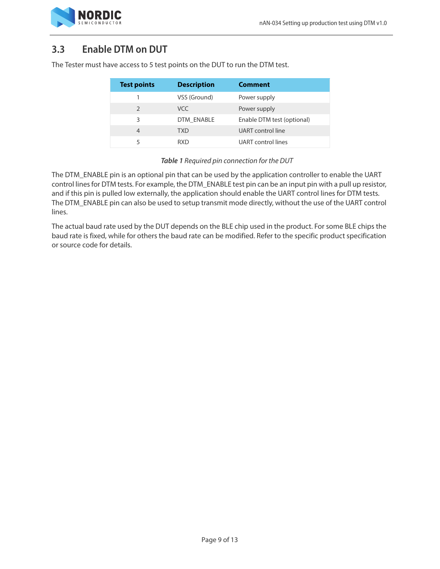

### <span id="page-8-0"></span>**3.3 Enable DTM on DUT**

| <b>Test points</b> | <b>Description</b> | <b>Comment</b>             |
|--------------------|--------------------|----------------------------|
|                    | VSS (Ground)       | Power supply               |
| $\mathcal{P}$      | VCC.               | Power supply               |
| 3                  | DTM ENABLE         | Enable DTM test (optional) |
| 4                  | TXD                | UART control line          |
|                    | RXD                | UART control lines         |

The Tester must have access to 5 test points on the DUT to run the DTM test.

#### **Table 1** Required pin connection for the DUT

The DTM\_ENABLE pin is an optional pin that can be used by the application controller to enable the UART control lines for DTM tests. For example, the DTM\_ENABLE test pin can be an input pin with a pull up resistor, and if this pin is pulled low externally, the application should enable the UART control lines for DTM tests. The DTM\_ENABLE pin can also be used to setup transmit mode directly, without the use of the UART control lines.

The actual baud rate used by the DUT depends on the BLE chip used in the product. For some BLE chips the baud rate is fixed, while for others the baud rate can be modified. Refer to the specific product specification or source code for details.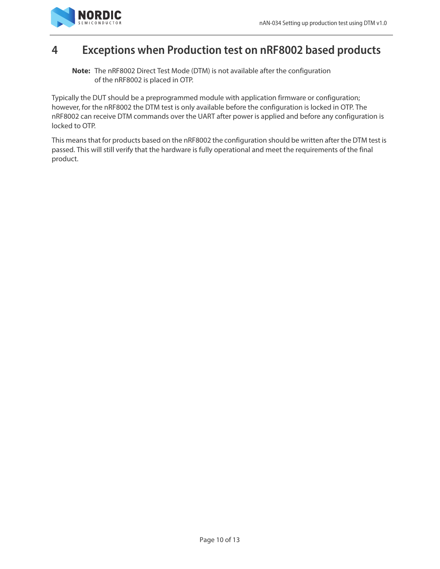

# <span id="page-9-0"></span>**4 Exceptions when Production test on nRF8002 based products**

**Note:** The nRF8002 Direct Test Mode (DTM) is not available after the configuration of the nRF8002 is placed in OTP.

Typically the DUT should be a preprogrammed module with application firmware or configuration; however, for the nRF8002 the DTM test is only available before the configuration is locked in OTP. The nRF8002 can receive DTM commands over the UART after power is applied and before any configuration is locked to OTP.

This means that for products based on the nRF8002 the configuration should be written after the DTM test is passed. This will still verify that the hardware is fully operational and meet the requirements of the final product.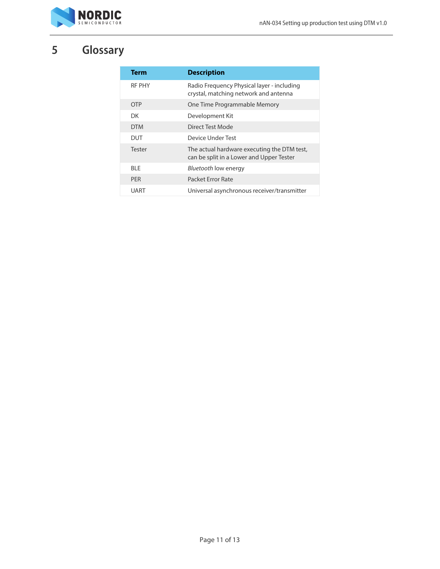

# <span id="page-10-0"></span>**5 Glossary**

| Term          | <b>Description</b>                                                                      |
|---------------|-----------------------------------------------------------------------------------------|
| <b>RF PHY</b> | Radio Frequency Physical layer - including<br>crystal, matching network and antenna     |
| OTP           | One Time Programmable Memory                                                            |
| DK.           | Development Kit                                                                         |
| <b>DTM</b>    | Direct Test Mode                                                                        |
| DUT           | Device Under Test                                                                       |
| Tester        | The actual hardware executing the DTM test,<br>can be split in a Lower and Upper Tester |
| BI F          | <i>Bluetooth</i> low energy                                                             |
| <b>PFR</b>    | Packet Error Rate                                                                       |
| UART          | Universal asynchronous receiver/transmitter                                             |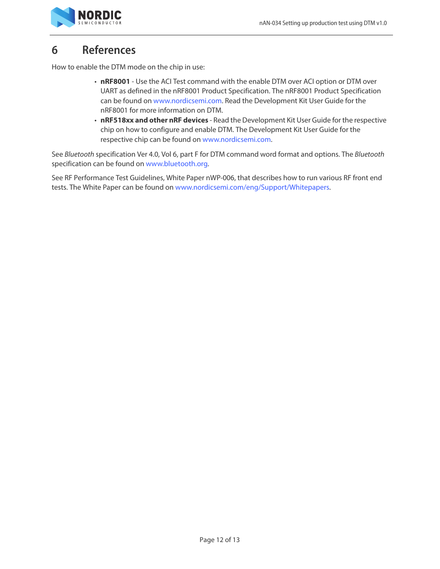

# <span id="page-11-0"></span>**6 References**

How to enable the DTM mode on the chip in use:

- **nRF8001** Use the ACI Test command with the enable DTM over ACI option or DTM over UART as defined in the nRF8001 Product Specification. The nRF8001 Product Specification can be found on [www.nordicsemi.com.](www.nordicsemi.com) Read the Development Kit User Guide for the nRF8001 for more information on DTM.
- **nRF518xx and other nRF devices** Read the Development Kit User Guide for the respective chip on how to configure and enable DTM. The Development Kit User Guide for the respective chip can be found on <www.nordicsemi.com>.

See Bluetooth specification Ver 4.0, Vol 6, part F for DTM command word format and options. The Bluetooth specification can be found on<www.bluetooth.org>.

See RF Performance Test Guidelines, White Paper nWP-006, that describes how to run various RF front end tests. The White Paper can be found on <www.nordicsemi.com/eng/Support/Whitepapers>.